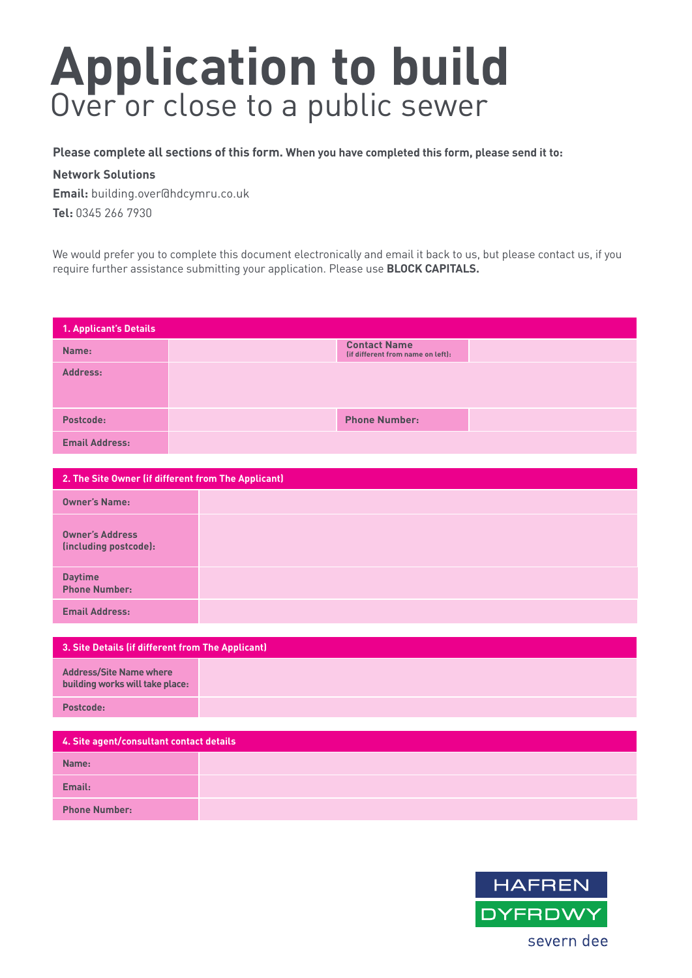## **Application to build**  Over or close to a public sewer

**Please complete all sections of this form. When you have completed this form, please send it to:**

## **Network Solutions**

**Email:** building.over@hdcymru.co.uk **Tel:** 0345 266 7930

We would prefer you to complete this document electronically and email it back to us, but please contact us, if you require further assistance submitting your application. Please use **BLOCK CAPITALS.**

| 1. Applicant's Details |                                                          |  |
|------------------------|----------------------------------------------------------|--|
| Name:                  | <b>Contact Name</b><br>(if different from name on left): |  |
| Address:               |                                                          |  |
| Postcode:              | <b>Phone Number:</b>                                     |  |
| <b>Email Address:</b>  |                                                          |  |

| 2. The Site Owner (if different from The Applicant) |  |  |
|-----------------------------------------------------|--|--|
| <b>Owner's Name:</b>                                |  |  |
| <b>Owner's Address</b><br>(including postcode):     |  |  |
| <b>Daytime</b><br><b>Phone Number:</b>              |  |  |
| <b>Email Address:</b>                               |  |  |

| 3. Site Details (if different from The Applicant)                 |  |  |
|-------------------------------------------------------------------|--|--|
| <b>Address/Site Name where</b><br>building works will take place: |  |  |
| Postcode:                                                         |  |  |

| 4. Site agent/consultant contact details |  |  |
|------------------------------------------|--|--|
| Name:                                    |  |  |
| Email:                                   |  |  |
| <b>Phone Number:</b>                     |  |  |

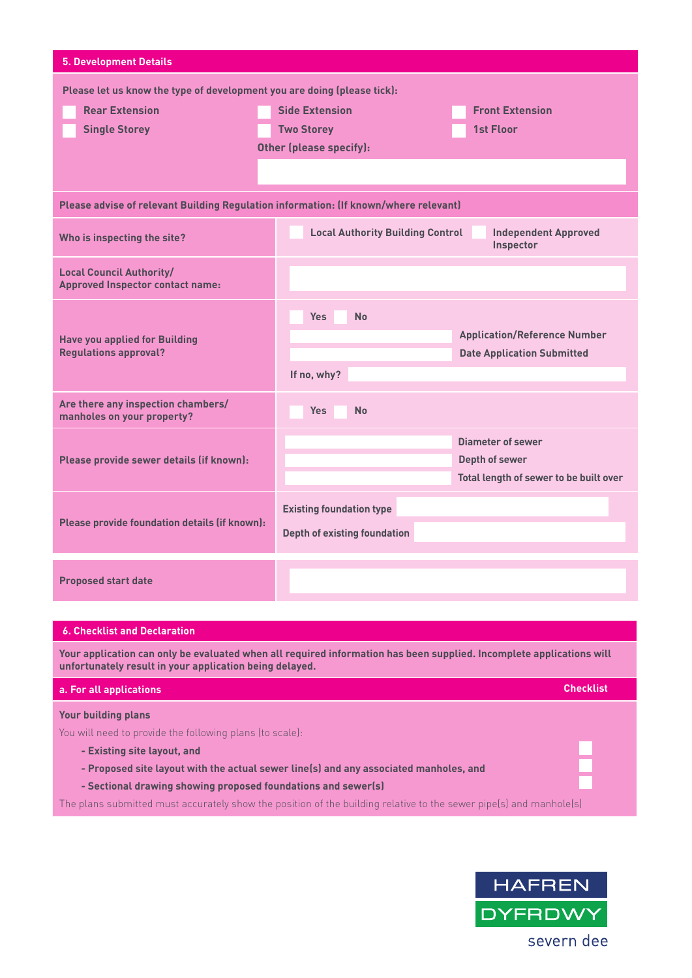| <b>5. Development Details</b>                                                        |                                                                                     |                                        |  |  |
|--------------------------------------------------------------------------------------|-------------------------------------------------------------------------------------|----------------------------------------|--|--|
| Please let us know the type of development you are doing (please tick):              |                                                                                     |                                        |  |  |
| <b>Rear Extension</b>                                                                | <b>Side Extension</b>                                                               | <b>Front Extension</b>                 |  |  |
| <b>Single Storey</b>                                                                 | <b>Two Storey</b>                                                                   | 1st Floor                              |  |  |
|                                                                                      | Other (please specify):                                                             |                                        |  |  |
|                                                                                      |                                                                                     |                                        |  |  |
| Please advise of relevant Building Regulation information: (If known/where relevant) |                                                                                     |                                        |  |  |
| Who is inspecting the site?                                                          | <b>Local Authority Building Control</b><br><b>Independent Approved</b><br>Inspector |                                        |  |  |
| <b>Local Council Authority/</b><br><b>Approved Inspector contact name:</b>           |                                                                                     |                                        |  |  |
|                                                                                      | <b>Yes</b><br><b>No</b>                                                             |                                        |  |  |
| <b>Have you applied for Building</b>                                                 |                                                                                     | <b>Application/Reference Number</b>    |  |  |
| <b>Regulations approval?</b>                                                         |                                                                                     | <b>Date Application Submitted</b>      |  |  |
|                                                                                      | If no, why?                                                                         |                                        |  |  |
| Are there any inspection chambers/<br>manholes on your property?                     | <b>Yes</b><br><b>No</b>                                                             |                                        |  |  |
|                                                                                      |                                                                                     | Diameter of sewer                      |  |  |
| Please provide sewer details (if known):                                             |                                                                                     | <b>Depth of sewer</b>                  |  |  |
|                                                                                      |                                                                                     | Total length of sewer to be built over |  |  |
|                                                                                      | <b>Existing foundation type</b>                                                     |                                        |  |  |
| Please provide foundation details (if known):                                        | <b>Depth of existing foundation</b>                                                 |                                        |  |  |
|                                                                                      |                                                                                     |                                        |  |  |
| <b>Proposed start date</b>                                                           |                                                                                     |                                        |  |  |
|                                                                                      |                                                                                     |                                        |  |  |

## **6. Checklist and Declaration**

**Your application can only be evaluated when all required information has been supplied. Incomplete applications will unfortunately result in your application being delayed.**

| a. For all applications                                                                                            | <b>Checklist</b> |
|--------------------------------------------------------------------------------------------------------------------|------------------|
| <b>Your building plans</b>                                                                                         |                  |
| You will need to provide the following plans (to scale):                                                           |                  |
| - Existing site layout, and                                                                                        |                  |
| - Proposed site layout with the actual sewer line(s) and any associated manholes, and                              |                  |
| - Sectional drawing showing proposed foundations and sewer(s)                                                      |                  |
| The plans submitted must accurately show the position of the building relative to the sewer pipe(s) and manhole(s) |                  |